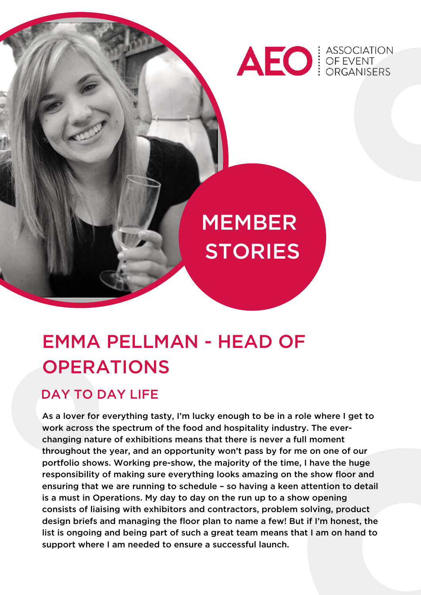

# MEMBER **STORIES**

# EMMA PELLMAN - HEAD OF **OPERATIONS**

#### DAY TO DAY LIFE

As a lover for everything tasty, I'm lucky enough to be in a role where I get to work across the spectrum of the food and hospitality industry. The everchanging nature of exhibitions means that there is never a full moment throughout the year, and an opportunity won't pass by for me on one of our portfolio shows. Working pre-show, the majority of the time, I have the huge responsibility of making sure everything looks amazing on the show floor and ensuring that we are running to schedule – so having a keen attention to detail is a must in Operations. My day to day on the run up to a show opening consists of liaising with exhibitors and contractors, problem solving, product design briefs and managing the floor plan to name a few! But if I'm honest, the list is ongoing and being part of such a great team means that I am on hand to support where I am needed to ensure a successful launch.